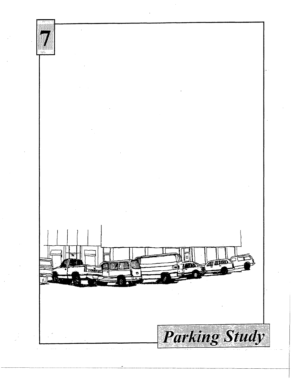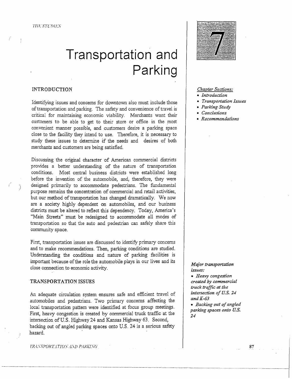# **Transportation and Parking**

# INTRODUCTION

Identifying issues and concerns for downtown also must include those of transportation and parking. The safety and convenience of travel is critical for maintaining economic viability. Merchants want their customers to be able to get to their store or office in the most convenient manner possible, and customers desire a parking space close to the facility they intend to use. Therefore, it is necessary to study these issues to determine if the needs and desires of both merchants and customers are being satisfied.

Discussing the original character of American commercial districts provides a better understanding of the nature of transportation conditions. Most central business districts were established long before the invention of the automobile, and; therefore, they were designed primarily to accommodate pedestrians. The fundamental purpose remains the concentration of commercial and retail activities, but our method of transportation has changed dramatically. We now are a society highly dependent on automobiles, and our business districts must be altered to reflect this dependency. Today, America's "Main Streets" must be redesigned to accommodate all modes of transportation so that the auto and pedestrian can safely share this community space.

First, transportation issues are discussed to identify primary concerns and to make recommendations. Then, parking conditions are studied. Understanding the conditions and nature of parking facilities is important because of the role the automobile plays in our lives and its close connection to economic activity.

## TRANSPORTATION ISSUES

An adequate circulation system ensures safe and efficient travel of automobiles and pedestrians. Two primary concerns affecting the local transportation pattern were identified at focus group meetings. First, heavy congestion is created by commercial truck traffic at the intersection of U.S. Highway 24 and Kansas Highway 63. Second, backing out of angled parking spaces onto U.S. 24 is a serious safety hazard.



# *Chapter Sections:*

- *Introduction*
- *Transportation Issues*
- *Parking Study*
- *Conclusions*
- *Recommendations*

# *Major transportation issues:*

• *Heavy congestion created by commercial truck traffic at the intersection of U.S. 24 andK-63* 

• *Backing out of angled parking spaces onto U.S. 24* 

fR:l.\"SPOl-ff J TIU.\" .-l.\ll f'.·IJ<J.;J.W;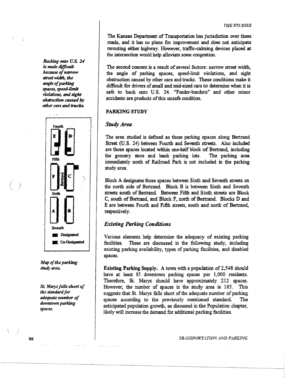The Kansas Department of Transportation has jurisdiction over these roads, and it has no plans for improvement and does not anticipate rerouting either highway. However, traffic-calming devices placed at the intersection would help alleviate some congestion.

The second concern is a result of several factors: narrow street width, the angle of parking spaces, speed-limit violations, and sight obstruction caused by other cars and trucks. These conditions make it difficult for drivers of small and mid-sized cars to determine when it is safe to back onto U.S. 24. "Fender-benders" and other minor accidents are products of this unsafe condition.

# PARKING STUDY

# *Study Area.*

The area studied is defined as those parking spaces along Bertrand Street (U.S. 24) between Fourth and Seventh streets. Also included are those spaces located within one-half block of Bertrand, including the grocery store and bank parking lots. The parking area immediately north of Railroad Park is not included in the parking study area.

Block A designates those spaces between Sixth and Seventh streets on the north side of Bertrand. Block B is between Sixth and Seventh streets south of Bertrand. Between Fifth and Sixth streets are Block C, south of Bertrand, and Block· F, north of Bertrand. Blocks D and E are between Fourth and Fifth streets, south and north of Bertrand, respectively.

# *Existing Parking Conditions*

Various elements help detennine the adequacy of existing parking facilities. These are discussed in the following study, including existing parking availability, types of parking facilities, and disabled spaces.

Existing Parking Supply. A town with a population of 2,548 should have at least 85 downtown parking spaces per 1,000 residents. Therefore, St. Marys should have approximately 212 spaces. However, the number of spaces in the study area is 185. This suggests that St. Marys falls short of the adequate number of parking spaces according to the previously mentioned standard. The anticipated population growth, as discussed in the Population chapter, likely will increase the demand for additional parking facilities.

*Backing onto U.S. 24*  is *made difficull because of narrow stl'eet* width, *the angle of parking spaces, speed-Umit violations, and* sight *obstruction caused* by *other cars and trucks.* 



*Map of the parking*  study area.

St. *Marys falls short of the standard for adequate number of downtown parking spaces.* 

TRANSPORTATION.AND PARKING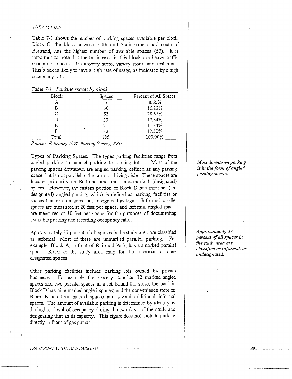# '/'l I I:' STl.'J.> !LS

Table 7-1 shows the number of parking spaces available per block. Block C, the block between Fifth and Sixth streets and south of Bertrand, has the highest number of available spaces (53). It is important to note that the businesses in this block are heavy traffic generators, such as the grocery store, variety store, and restaurant. This block is likely to have a high rate of usage, as indicated by a high occupancy rate.

| Table 7-1. Parking spaces by block. |  |
|-------------------------------------|--|
|-------------------------------------|--|

| <b>Block</b> | Spaces | Percent of All Spaces |
|--------------|--------|-----------------------|
| A            | 16     | 8.65%                 |
| В            | 30     | 16.22%                |
| C            | 53     | 28.65%                |
| D            | 33     | 17.84%                |
| Ε            | 21     | 11.34%                |
| F            | 32     | 17.30%                |
| Total        | 185    | 100.00%               |

*Source: Febn1ary 1997, Parking Survey, KSU* 

Types of **Parking** Spaces. The types parking facilities range from angled parking to parallel parking to parking lots. Most of the parking spaces downtown are angled parking, defined as any parking space that is not parallel to the curb or driving aisle. These spaces are located primarily on Bertrand and most are marked (designated) spaces. However, the eastern portion of Block D has informal (undesignated) angled parking, which is defined as parking facilities or spaces that are unmarked but recognized as legal. Informal parallel spaces are measured at 20 feet per space, and informal angled spaces are measured at 10 feet per space for the purposes of documenting available parking and recording occupancy rates.

Approximately 37 percent of all spaces in the study area are classified as informal. Most of these are unmarked parallel parking. For example, Block A, in front of Railroad Park, has unmarked parallel spaces. Refer to the study area map for the locations of nondesignated spaces.

Other parking facilities include parking lots owned by private businesses. For example, the grocery store has 12 marked angled spaces and two parallel spaces in a lot behind the store; the bank in Block D has nine marked angled spaces; and the convenience store on Block E has four marked spaces and several additional informal spaces. The amount of available parking is determined by identifying the highest level of occupancy during the two days of the study and designating that as its capacity. This figure does not include parking directly in front of gas pumps.

*Most downtown parking is in the form of angled parking spaces.* 

*Approximately 37 percent of all spaces in the study area are classified as informal, or undesignated.* 

89

lR.·L\'.\POHF 1 TIU.\' .·L\'D f"l/<11.LW/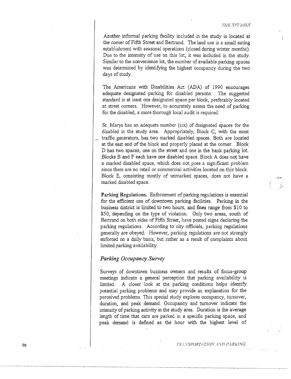Another informal parking facility included in the study is located at the comer of Fifth Street and Bertrand. The land use is a small eating establishment with seasonal operations (closed during winter months). Due to the intensity of use on this lot, it was included in the study. Similar to the convenience lot, the number of available parking spaces was determined by identifying the highest occupancy during the two days of study.

The Americans with Disabilities Act (ADA) of 1990 encourages adequate designated parking for disabled persons. The suggested standard is at least one designated space per block, preferably located at street comers. However, to accurately assess the need of parking for the disabled, a more thorough local audit is required.

St. Marys has an adequate number (six) of designated spaces for the disabled in the study area. Appropriately, Block C, with the most traffic generators, has two marked disabled spaces. Both are located at the east end of the block and properly placed at the comer. Block **D** has two spaces, one on the street and one in the bank parking lot. Blocks B and F each have one disabled space. Block A does not have a marked disabled space, which does not pose a significant problem since there are no retail or commercial activities located on this block. Block E, consisting mostly of unmarked spaces, does not have a marked disabled space.

**Parking Regulations.** Enforcement of parking regulations is essential for the efficient use of downtown parking facilities. Parking in the business district is limited to two hours, and fines range from \$10 to \$50, depending on the type of violation. Only two areas, south of Bertrand on both sides of Fifth Street, have posted signs declaring the parking regulations. According to city officials, parking regulations generally are obeyed: However, parking regulations are not strongly enforced on a daily basis, but rather as a result of complaints about limited parking availability.

# *Parking Occupancy Survey*

 $\ddot{ }$ 

Surveys of downtown business owners and results of focus-group meetings indicate a general perception that parking availability is limited. A closer look at the parking conditions helps identify potential parking problems and may provide an explanation for the perceived problems. This special study explores occupancy, turnover, duration, and peak demand. Occupancy and turnover indicate the intensity of parking activity in the study area. Duration is the average length of time that cars are parked in a specific parking space, and peak demand is defined as the hour with the highest level of

/'f-i'.1.\"SP<JRT.-ITJO:\'.·i.\D *l'.:1Rll.l:VCi*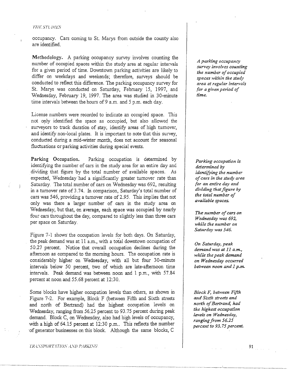### '/'! n: *STl.* /) *ffS*

occupancy. Cars coming to St. Marys from outside the county also are identified.

Methodology. A parking occupancy survey involves counting the number of occupied spaces within the study area at regular intervals for a given period of time. Downtown parking activities are likely to differ on weekdays and weekends; therefore, surveys should be conducted to reflect this difference. The parking occupancy survey for St. Marys was conducted on Saturday, February 15, 1997, and Wednesday, February 19, 1997. The area was studied in 30-minute time intervals between the hours of 9 a.m. and 5 p.m. each day.

License numbers were recorded to indicate an occupied space. This not only identified the space as occupied, but also allowed the surveyors to track duration of stay, identify areas of high turnover, and identify non-local plates. It is important to note that this survey, conducted during a mid-winter month, does not account for seasonal fluctuations or parking activities during special events.

Parking Occupation. Parking occupation is determined by identifying the number of cars in the study area for an entire day and dividing that figure by the total number of available spaces. As expected, Wednesday had a significantly greater turnover rate than Saturday. The total number of cars on Wednesday was 692, resulting in a turnover rate of 3 .74. In comparison, Saturday's total number of cars was 546, providing a turnover rate of 2.95. This implies that not only was there a larger number of cars in the study area on Wednesday, but that, on average, each space was occupied by nearly four cars throughout the day, compared to slightly less than three cars per space on Saturday.

Figure 7-1 shows the occupation levels for both days. On Saturday, the peak demand was at 11 a.m., with a total downtown occupation of 50.27 percent. Notice that overall occupation declines during the afternoon as compared to the morning hours. The occupation rate is considerably higher on Wednesday, with all but four 30-minute intervals below 50 percent, two of which are late-afternoon time intervals. Peak demand was between noon and 1 p.m., with 57.84 percent at noon and 55.68 percent at 12:30.

Some blocks have higher occupation levels than others, as shown in Figure 7-2. For example, Block F (between Fifth and Sixth streets and north of Bertrand) had the highest occupation levels on Wednesday, ranging from 56.25 percent to 93.75 percent during peak demand. Block C, on Wednesday, also had high levels of occupancy, with a high of 64.15 percent at 12:30 p.m.. This reflects the number ·of generator businesses on this block. Although the same blocks, C

UCL \SPORT <sup>l</sup>*nus* .·l.\D f'..JRJ.;JXU

*A parking occupancy survey involves counting the number of occupied spaces within the study area at regular intervals for a given period of time.* 

*Parking occupation is. determined by identifying the number of cars in the study area for an entire day and dividing that figure by the total number of available spaces.* 

*The number of cars on Wednesday was 692, while the number on Saturday was 546.* 

*On Saturday, peak demand was at 11 a.m., while the peak demand on Wednesday occurred between noon and 1 p.m.* 

*Block* F, *between Fifth and Sixth streets and north of Bertrand, had the highest occupation levels on Wednesday, ranging from 56.25 percent to 93. 75 percent.*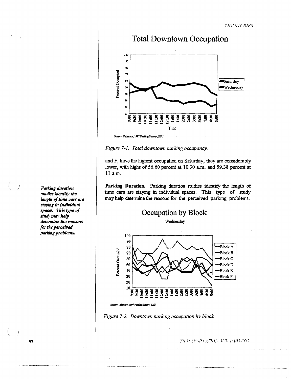





*Figure 7-1. Total downtown parking occupancy.* 

and F, have the highest occupation on Saturday, they are considerably lower, with highs of 56.60 percent at 10:30 a.m. and 59.38 percent at 11 a.m.

Parking Duration. Parking duration studies identify the length of time cars are staying in individual spaces. This type of study may help detennine the reasons for the perceived parking problems.





Source: February, 1997 Parking Survey, KSU



TRASPORTATION IND PARKING

*Parking duration studies identify the length of time cars are staying in individual spaces. This type of study may help determine the reasons for the perceived parking problems.* 

ţ

(  $\langle \quad \rangle$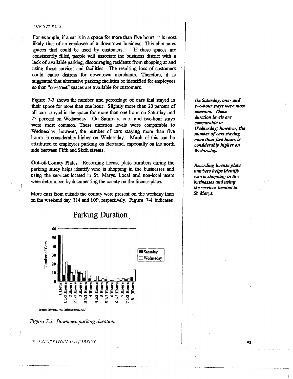#### **HESTUNES**

For example, if a car is in a space for more than five hours, it is most likely that of an employee of a downtown business. This eliminates spaces that could be used by customers. If these spaces are. consistently filled, people will associate the business district with a lack of available parking, discouraging residents from shopping at and using those services and facilities. The resulting loss of customers could cause distress for downtown merchants. Therefore, it is suggested that alternative parking facilities be identified for employees so that "on-street" spaces are available for customers.

Figure 7-3 shows the number and percentage of cars that stayed in their space for more than one hour. Slightly more than 20 percent of all cars stayed in the space for more than one hour on Saturday and 23 percent on Wednesday. On Saturday, one- and two-hour stays were most common. These duration levels were comparable to Wednesday; however, the number of cars staying more than five hours is considerably higher on Wednesday. Much of this can be attributed to employees parking on Bertrand, especially on the north side between Fifth and Sixth streets.

Out-of-County Plates. Recording license plate numbers during the parking study helps identify who is shopping in the businesses and using the services located in St. Marys. Local and non-local users were determined by documenting the county on the license plates.

More cars from outside the county were present on the weekday than on the weekend day, 114 and 109, respectively. Figure 7-4 indicates



*Figure 7-3. Downtown parking duration.* 

FRANSYMY LYAN AND PARTISK

*On Saturday, one- and two-hour stays were most common. These duration levels are comparable to Wednesday; however, the number of cars staying more than five hours* is *considerably higher on Wednesday.* 

*Recording license plate numbers helps identify who is shopping in the businesses and using* · *the services located in St Marys.*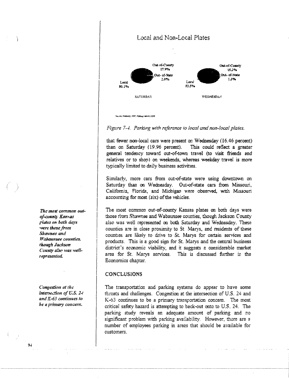

*Figure 7-4. Parking with reference to local and non-local plates.* 

that fewer non-local cars were present on Wednesday (16.46 percent) than on Saturday (19.96 percent). This could reflect a greater general tendency toward out-of-town travel (to visit friends and relatives or to shop) on weekends, whereas weekday travel is more typically limited to daily business activities.

Similarly, more cars from out-of-state were using downtown on Saturday than on Wednesday. Out-of-state cars from Missouri, California, Florida, and Michigan were observed, with Missouri accounting for most (six) of the vehicles.

The most ccmmon out-of-county Kansas plates on both days were those from Shawnee and Wabaunsee counties, though Jackson County also was well represented on both Saturday and Wednesday. These counties are in close proximity to St Marys, and residents of these counties are likely to drive to St. Marys for certain services and products. This is a good sign for St. Marys and the central business district's economic viability, and it suggests a considerable market area for St. Marys services. This is discussed further in the Economics chapter.

# **CONCLUSIONS**

The transportation and parking systems do appear to have some threats and challenges. Congestion at the intersection of U.S. 24 and K-63 continues to be a primary transportation concern. The most critical safety hazard is attempting to back-out onto to U.S. 24. The parking study reveals an adequate amount of parking and no significant problem with parking availability. However, there are a number of employees parking in areas that should be available for customers.

*Tiu: most common outof-cuunty Katt.,as {'{ates Oil both days were those from Shawnee and Wabaunsee counties. though Jackson*  County also was well*represented.* 

*Congestion at the intersection of U.S. 2-t* and K-63 *continues to be a primary concern.*